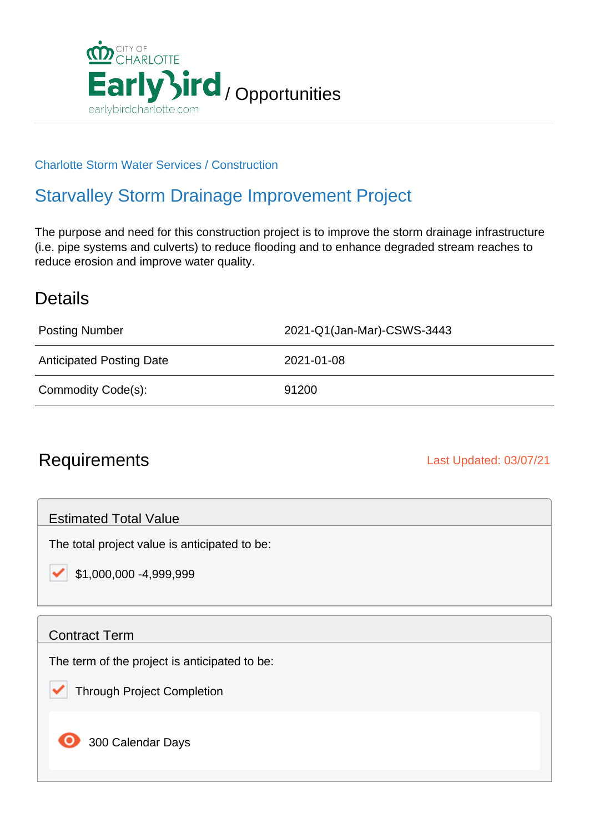

#### Charlotte Storm Water Services / Construction

# Starvalley Storm Drainage Improvement Project

The purpose and need for this construction project is to improve the storm drainage infrastructure (i.e. pipe systems and culverts) to reduce flooding and to enhance degraded stream reaches to reduce erosion and improve water quality.

### **Details**

| <b>Posting Number</b>           | 2021-Q1(Jan-Mar)-CSWS-3443 |
|---------------------------------|----------------------------|
| <b>Anticipated Posting Date</b> | 2021-01-08                 |
| Commodity Code(s):              | 91200                      |

## Requirements **Last Updated: 03/07/21**

Estimated Total Value

The total project value is anticipated to be:

\$1,000,000 -4,999,999

#### Contract Term

The term of the project is anticipated to be:

Through Project Completion

300 Calendar Days